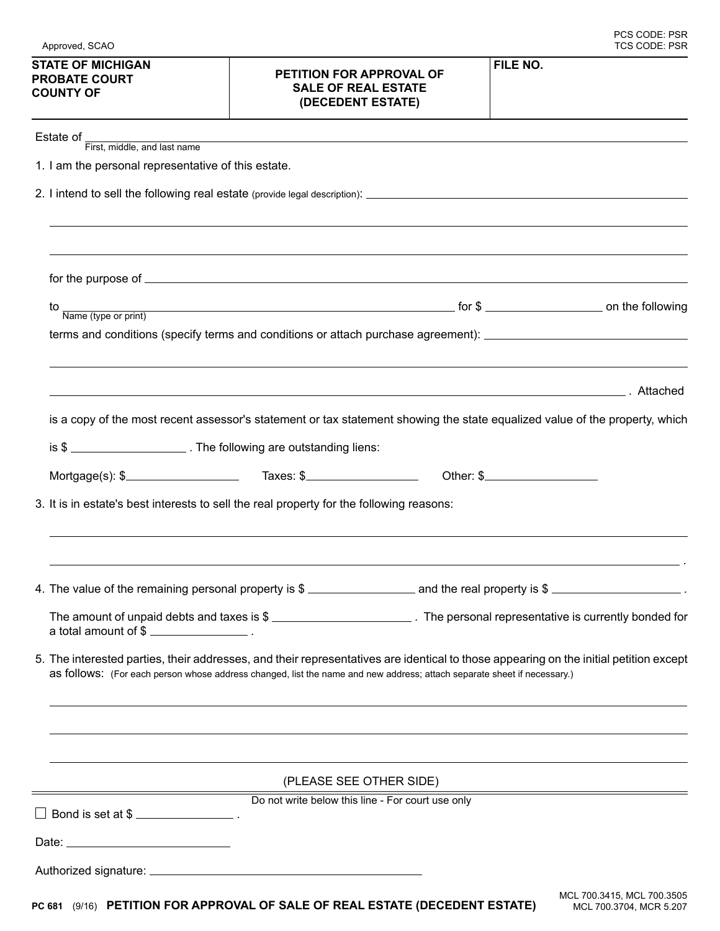| <b>PROBATE COURT</b><br><b>COUNTY OF</b>                                                                                                                                                                                                                         | PETITION FOR APPROVAL OF<br><b>SALE OF REAL ESTATE</b><br>(DECEDENT ESTATE) |                                                                                                                             |
|------------------------------------------------------------------------------------------------------------------------------------------------------------------------------------------------------------------------------------------------------------------|-----------------------------------------------------------------------------|-----------------------------------------------------------------------------------------------------------------------------|
| Estate of First, middle, and last name                                                                                                                                                                                                                           |                                                                             |                                                                                                                             |
| 1. I am the personal representative of this estate.                                                                                                                                                                                                              |                                                                             |                                                                                                                             |
|                                                                                                                                                                                                                                                                  |                                                                             |                                                                                                                             |
| for the purpose of successive contract to the purpose of successive contract of the purpose of                                                                                                                                                                   |                                                                             |                                                                                                                             |
|                                                                                                                                                                                                                                                                  |                                                                             | $\frac{10}{Name (type or print)}$ on the following                                                                          |
|                                                                                                                                                                                                                                                                  |                                                                             | terms and conditions (specify terms and conditions or attach purchase agreement): ____________________________              |
|                                                                                                                                                                                                                                                                  |                                                                             |                                                                                                                             |
|                                                                                                                                                                                                                                                                  |                                                                             | is a copy of the most recent assessor's statement or tax statement showing the state equalized value of the property, which |
| is \$                                                                                                                                                                                                                                                            |                                                                             |                                                                                                                             |
|                                                                                                                                                                                                                                                                  |                                                                             |                                                                                                                             |
| 3. It is in estate's best interests to sell the real property for the following reasons:                                                                                                                                                                         |                                                                             |                                                                                                                             |
| 4. The value of the remaining personal property is \$ ____________________________ and the real property is \$ _________________________.                                                                                                                        |                                                                             |                                                                                                                             |
|                                                                                                                                                                                                                                                                  |                                                                             |                                                                                                                             |
| 5. The interested parties, their addresses, and their representatives are identical to those appearing on the initial petition except<br>as follows: (For each person whose address changed, list the name and new address; attach separate sheet if necessary.) |                                                                             |                                                                                                                             |
|                                                                                                                                                                                                                                                                  | (PLEASE SEE OTHER SIDE)                                                     |                                                                                                                             |
|                                                                                                                                                                                                                                                                  | Do not write below this line - For court use only                           |                                                                                                                             |
| Bond is set at \$                                                                                                                                                                                                                                                |                                                                             |                                                                                                                             |
|                                                                                                                                                                                                                                                                  |                                                                             |                                                                                                                             |
|                                                                                                                                                                                                                                                                  |                                                                             |                                                                                                                             |
| PC 681 (9/16) PETITION FOR APPROVAL OF SALE OF REAL ESTATE (DECEDENT ESTATE)                                                                                                                                                                                     |                                                                             | MCL 700.3415, MCL 700.3505<br>MCL 700.3704, MCR 5.207                                                                       |

## **STATE OF MICHIGAN**

## **PETITION FOR APPROVAL OF**

J

**FILE NO.**